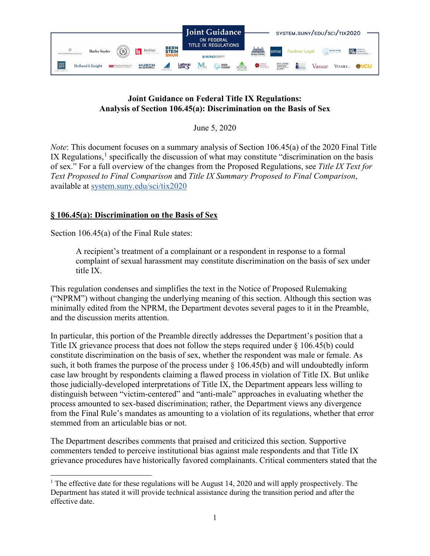

## **Joint Guidance on Federal Title IX Regulations: Analysis of Section 106.45(a): Discrimination on the Basis of Sex**

June 5, 2020

*Note*: This document focuses on a summary analysis of Section 106.45(a) of the 2020 Final Title IX Regulations, $<sup>1</sup>$  $<sup>1</sup>$  $<sup>1</sup>$  specifically the discussion of what may constitute "discrimination on the basis</sup> of sex." For a full overview of the changes from the Proposed Regulations, see *Title IX Text for Text Proposed to Final Comparison* and *Title IX Summary Proposed to Final Comparison*, available at [system.suny.edu/sci/tix2020](https://system.suny.edu/sci/tix2020/)

## **§ 106.45(a): Discrimination on the Basis of Sex**

Section 106.45(a) of the Final Rule states:

A recipient's treatment of a complainant or a respondent in response to a formal complaint of sexual harassment may constitute discrimination on the basis of sex under title IX.

This regulation condenses and simplifies the text in the Notice of Proposed Rulemaking ("NPRM") without changing the underlying meaning of this section. Although this section was minimally edited from the NPRM, the Department devotes several pages to it in the Preamble, and the discussion merits attention.

In particular, this portion of the Preamble directly addresses the Department's position that a Title IX grievance process that does not follow the steps required under § 106.45(b) could constitute discrimination on the basis of sex, whether the respondent was male or female. As such, it both frames the purpose of the process under  $\S$  106.45(b) and will undoubtedly inform case law brought by respondents claiming a flawed process in violation of Title IX. But unlike those judicially-developed interpretations of Title IX, the Department appears less willing to distinguish between "victim-centered" and "anti-male" approaches in evaluating whether the process amounted to sex-based discrimination; rather, the Department views any divergence from the Final Rule's mandates as amounting to a violation of its regulations, whether that error stemmed from an articulable bias or not.

The Department describes comments that praised and criticized this section. Supportive commenters tended to perceive institutional bias against male respondents and that Title IX grievance procedures have historically favored complainants. Critical commenters stated that the

<span id="page-0-0"></span><sup>&</sup>lt;sup>1</sup> The effective date for these regulations will be August 14, 2020 and will apply prospectively. The Department has stated it will provide technical assistance during the transition period and after the effective date.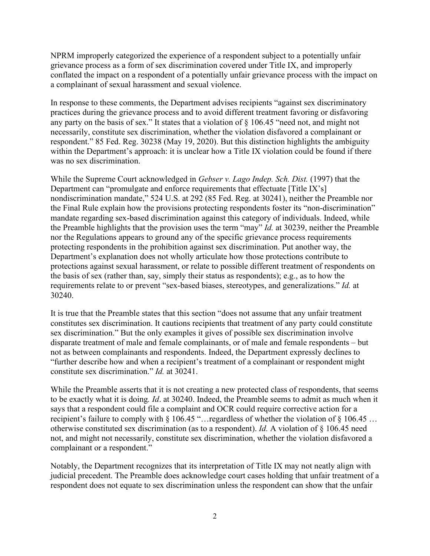NPRM improperly categorized the experience of a respondent subject to a potentially unfair grievance process as a form of sex discrimination covered under Title IX, and improperly conflated the impact on a respondent of a potentially unfair grievance process with the impact on a complainant of sexual harassment and sexual violence.

In response to these comments, the Department advises recipients "against sex discriminatory practices during the grievance process and to avoid different treatment favoring or disfavoring any party on the basis of sex." It states that a violation of § 106.45 "need not, and might not necessarily, constitute sex discrimination, whether the violation disfavored a complainant or respondent." 85 Fed. Reg. 30238 (May 19, 2020). But this distinction highlights the ambiguity within the Department's approach: it is unclear how a Title IX violation could be found if there was no sex discrimination.

While the Supreme Court acknowledged in *Gebser v. Lago Indep. Sch. Dist.* (1997) that the Department can "promulgate and enforce requirements that effectuate [Title IX's] nondiscrimination mandate," 524 U.S. at 292 (85 Fed. Reg. at 30241), neither the Preamble nor the Final Rule explain how the provisions protecting respondents foster its "non-discrimination" mandate regarding sex-based discrimination against this category of individuals. Indeed, while the Preamble highlights that the provision uses the term "may" *Id.* at 30239, neither the Preamble nor the Regulations appears to ground any of the specific grievance process requirements protecting respondents in the prohibition against sex discrimination. Put another way, the Department's explanation does not wholly articulate how those protections contribute to protections against sexual harassment, or relate to possible different treatment of respondents on the basis of sex (rather than, say, simply their status as respondents); e.g., as to how the requirements relate to or prevent "sex-based biases, stereotypes, and generalizations." *Id.* at 30240.

It is true that the Preamble states that this section "does not assume that any unfair treatment constitutes sex discrimination. It cautions recipients that treatment of any party could constitute sex discrimination." But the only examples it gives of possible sex discrimination involve disparate treatment of male and female complainants, or of male and female respondents – but not as between complainants and respondents. Indeed, the Department expressly declines to "further describe how and when a recipient's treatment of a complainant or respondent might constitute sex discrimination." *Id.* at 30241.

While the Preamble asserts that it is not creating a new protected class of respondents, that seems to be exactly what it is doing*. Id*. at 30240. Indeed, the Preamble seems to admit as much when it says that a respondent could file a complaint and OCR could require corrective action for a recipient's failure to comply with § 106.45 "…regardless of whether the violation of § 106.45 … otherwise constituted sex discrimination (as to a respondent). *Id.* A violation of § 106.45 need not, and might not necessarily, constitute sex discrimination, whether the violation disfavored a complainant or a respondent."

Notably, the Department recognizes that its interpretation of Title IX may not neatly align with judicial precedent. The Preamble does acknowledge court cases holding that unfair treatment of a respondent does not equate to sex discrimination unless the respondent can show that the unfair